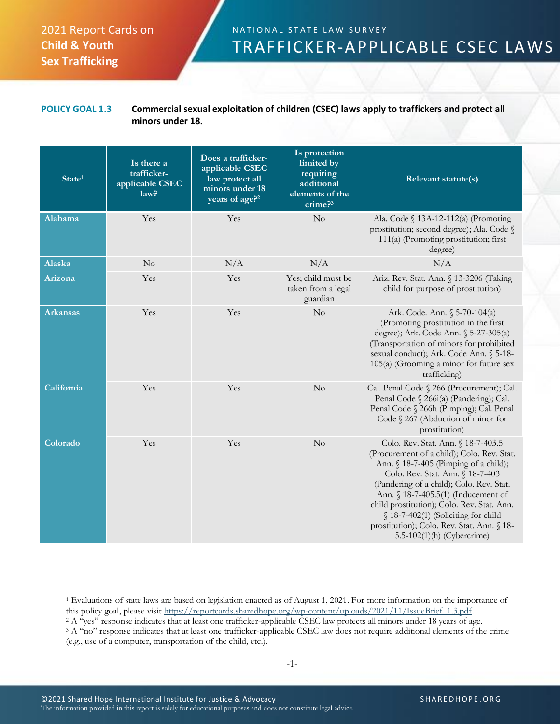## 2021 Report Cards on **Child & Youth Sex Trafficking**

## N A T I O N A L S T A T E L A W S U R V E Y TRAFFICKER-APPLICABLE CSEC LAWS

## **POLICY GOAL 1.3 Commercial sexual exploitation of children (CSEC) laws apply to traffickers and protect all minors under 18.**

| State <sup>1</sup> | Is there a<br>trafficker-<br>applicable CSEC<br>law? | Does a trafficker-<br>applicable CSEC<br>law protect all<br>minors under 18<br>years of age? <sup>2</sup> | Is protection<br>limited by<br>requiring<br>additional<br>elements of the<br>crime? <sup>3</sup> | Relevant statute(s)                                                                                                                                                                                                                                                                                                                                                                                               |
|--------------------|------------------------------------------------------|-----------------------------------------------------------------------------------------------------------|--------------------------------------------------------------------------------------------------|-------------------------------------------------------------------------------------------------------------------------------------------------------------------------------------------------------------------------------------------------------------------------------------------------------------------------------------------------------------------------------------------------------------------|
| Alabama            | Yes                                                  | Yes                                                                                                       | $\rm No$                                                                                         | Ala. Code § 13A-12-112(a) (Promoting<br>prostitution; second degree); Ala. Code §<br>111(a) (Promoting prostitution; first<br>degree)                                                                                                                                                                                                                                                                             |
| Alaska             | N <sub>o</sub>                                       | N/A                                                                                                       | N/A                                                                                              | N/A                                                                                                                                                                                                                                                                                                                                                                                                               |
| Arizona            | Yes                                                  | Yes                                                                                                       | Yes; child must be<br>taken from a legal<br>guardian                                             | Ariz. Rev. Stat. Ann. § 13-3206 (Taking<br>child for purpose of prostitution)                                                                                                                                                                                                                                                                                                                                     |
| <b>Arkansas</b>    | Yes                                                  | Yes                                                                                                       | No                                                                                               | Ark. Code. Ann. § 5-70-104(a)<br>(Promoting prostitution in the first<br>degree); Ark. Code Ann. § 5-27-305(a)<br>(Transportation of minors for prohibited<br>sexual conduct); Ark. Code Ann. § 5-18-<br>105(a) (Grooming a minor for future sex<br>trafficking)                                                                                                                                                  |
| California         | Yes                                                  | Yes                                                                                                       | No                                                                                               | Cal. Penal Code § 266 (Procurement); Cal.<br>Penal Code § 266i(a) (Pandering); Cal.<br>Penal Code § 266h (Pimping); Cal. Penal<br>Code § 267 (Abduction of minor for<br>prostitution)                                                                                                                                                                                                                             |
| Colorado           | Yes                                                  | Yes                                                                                                       | $\rm No$                                                                                         | Colo. Rev. Stat. Ann. § 18-7-403.5<br>(Procurement of a child); Colo. Rev. Stat.<br>Ann. § 18-7-405 (Pimping of a child);<br>Colo. Rev. Stat. Ann. § 18-7-403<br>(Pandering of a child); Colo. Rev. Stat.<br>Ann. § 18-7-405.5(1) (Inducement of<br>child prostitution); Colo. Rev. Stat. Ann.<br>§ 18-7-402(1) (Soliciting for child<br>prostitution); Colo. Rev. Stat. Ann. § 18-<br>5.5-102(1)(h) (Cybercrime) |

<sup>1</sup> Evaluations of state laws are based on legislation enacted as of August 1, 2021. For more information on the importance of this policy goal, please visit [https://reportcards.sharedhope.org/wp-content/uploads/2021/11/IssueBrief\\_1.3.pdf.](https://reportcards.sharedhope.org/wp-content/uploads/2021/11/IssueBrief_1.3.pdf)

<sup>2</sup> A "yes" response indicates that at least one trafficker-applicable CSEC law protects all minors under 18 years of age.

<sup>3</sup> A "no" response indicates that at least one trafficker-applicable CSEC law does not require additional elements of the crime (e.g., use of a computer, transportation of the child, etc.).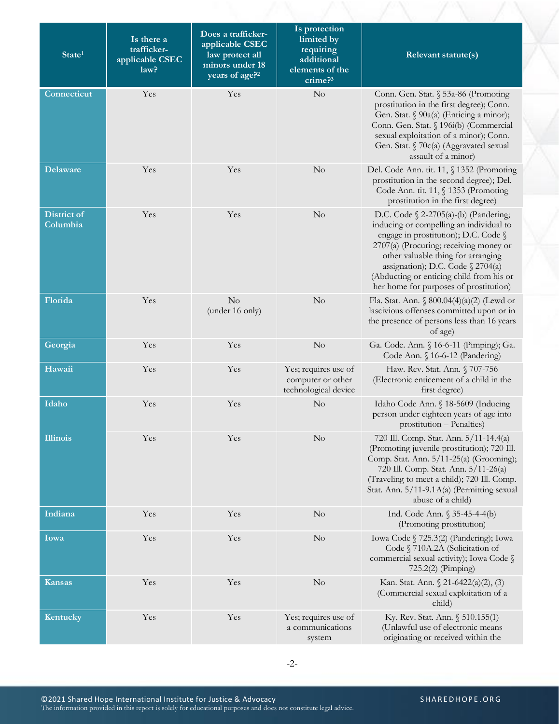| State <sup>1</sup>             | Is there a<br>trafficker-<br>applicable CSEC<br>law? | Does a trafficker-<br>applicable CSEC<br>law protect all<br>minors under 18<br>years of age? <sup>2</sup> | Is protection<br>limited by<br>requiring<br>additional<br>elements of the<br>$c$ rime? $3$ | Relevant statute(s)                                                                                                                                                                                                                                                                                                                    |
|--------------------------------|------------------------------------------------------|-----------------------------------------------------------------------------------------------------------|--------------------------------------------------------------------------------------------|----------------------------------------------------------------------------------------------------------------------------------------------------------------------------------------------------------------------------------------------------------------------------------------------------------------------------------------|
| Connecticut                    | Yes                                                  | Yes                                                                                                       | $\rm No$                                                                                   | Conn. Gen. Stat. § 53a-86 (Promoting<br>prostitution in the first degree); Conn.<br>Gen. Stat. § 90a(a) (Enticing a minor);<br>Conn. Gen. Stat. § 196i(b) (Commercial<br>sexual exploitation of a minor); Conn.<br>Gen. Stat. § 70c(a) (Aggravated sexual<br>assault of a minor)                                                       |
| <b>Delaware</b>                | Yes                                                  | Yes                                                                                                       | No                                                                                         | Del. Code Ann. tit. 11, § 1352 (Promoting<br>prostitution in the second degree); Del.<br>Code Ann. tit. 11, § 1353 (Promoting<br>prostitution in the first degree)                                                                                                                                                                     |
| <b>District of</b><br>Columbia | Yes                                                  | Yes                                                                                                       | No                                                                                         | D.C. Code $\S$ 2-2705(a)-(b) (Pandering;<br>inducing or compelling an individual to<br>engage in prostitution); D.C. Code §<br>2707(a) (Procuring; receiving money or<br>other valuable thing for arranging<br>assignation); D.C. Code § 2704(a)<br>(Abducting or enticing child from his or<br>her home for purposes of prostitution) |
| Florida                        | Yes                                                  | No<br>(under 16 only)                                                                                     | No                                                                                         | Fla. Stat. Ann. $\S 800.04(4)(a)(2)$ (Lewd or<br>lascivious offenses committed upon or in<br>the presence of persons less than 16 years<br>of age)                                                                                                                                                                                     |
| Georgia                        | Yes                                                  | Yes                                                                                                       | No                                                                                         | Ga. Code. Ann. § 16-6-11 (Pimping); Ga.<br>Code Ann. § 16-6-12 (Pandering)                                                                                                                                                                                                                                                             |
| Hawaii                         | Yes                                                  | Yes                                                                                                       | Yes; requires use of<br>computer or other<br>technological device                          | Haw. Rev. Stat. Ann. § 707-756<br>(Electronic enticement of a child in the<br>first degree)                                                                                                                                                                                                                                            |
| Idaho                          | Yes                                                  | Yes                                                                                                       | $\rm No$                                                                                   | Idaho Code Ann. § 18-5609 (Inducing<br>person under eighteen years of age into<br>prostitution - Penalties)                                                                                                                                                                                                                            |
| <b>Illinois</b>                | Yes                                                  | Yes                                                                                                       | $\rm No$                                                                                   | 720 Ill. Comp. Stat. Ann. 5/11-14.4(a)<br>(Promoting juvenile prostitution); 720 Ill.<br>Comp. Stat. Ann. 5/11-25(a) (Grooming);<br>720 Ill. Comp. Stat. Ann. 5/11-26(a)<br>(Traveling to meet a child); 720 Ill. Comp.<br>Stat. Ann. 5/11-9.1A(a) (Permitting sexual<br>abuse of a child)                                             |
| Indiana                        | Yes                                                  | Yes                                                                                                       | $\rm No$                                                                                   | Ind. Code Ann. $$35-45-4-4(b)$<br>(Promoting prostitution)                                                                                                                                                                                                                                                                             |
| Iowa                           | Yes                                                  | Yes                                                                                                       | $\rm No$                                                                                   | Iowa Code § 725.3(2) (Pandering); Iowa<br>Code § 710A.2A (Solicitation of<br>commercial sexual activity); Iowa Code §<br>725.2(2) (Pimping)                                                                                                                                                                                            |
| <b>Kansas</b>                  | Yes                                                  | Yes                                                                                                       | $\rm No$                                                                                   | Kan. Stat. Ann. $\Omega$ 21-6422(a)(2), (3)<br>(Commercial sexual exploitation of a<br>child)                                                                                                                                                                                                                                          |
| Kentucky                       | Yes                                                  | Yes                                                                                                       | Yes; requires use of<br>a communications<br>system                                         | Ky. Rev. Stat. Ann. § 510.155(1)<br>(Unlawful use of electronic means<br>originating or received within the                                                                                                                                                                                                                            |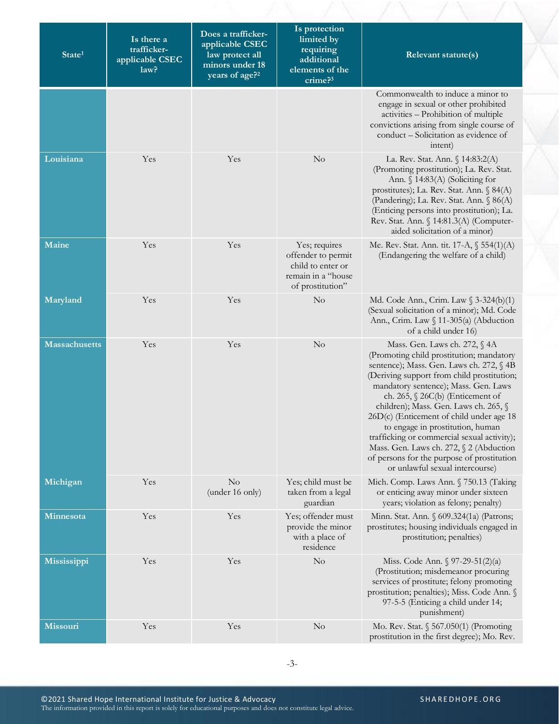| State <sup>1</sup>   | Is there a<br>trafficker-<br>applicable CSEC<br>law? | Does a trafficker-<br>applicable CSEC<br>law protect all<br>minors under 18<br>years of age? <sup>2</sup> | Is protection<br>limited by<br>requiring<br>additional<br>elements of the<br>crime <sup>3</sup>    | <b>Relevant statute(s)</b>                                                                                                                                                                                                                                                                                                                                                                                                                                                                                                                             |
|----------------------|------------------------------------------------------|-----------------------------------------------------------------------------------------------------------|----------------------------------------------------------------------------------------------------|--------------------------------------------------------------------------------------------------------------------------------------------------------------------------------------------------------------------------------------------------------------------------------------------------------------------------------------------------------------------------------------------------------------------------------------------------------------------------------------------------------------------------------------------------------|
|                      |                                                      |                                                                                                           |                                                                                                    | Commonwealth to induce a minor to<br>engage in sexual or other prohibited<br>activities - Prohibition of multiple<br>convictions arising from single course of<br>conduct - Solicitation as evidence of<br>intent)                                                                                                                                                                                                                                                                                                                                     |
| Louisiana            | Yes                                                  | Yes                                                                                                       | No                                                                                                 | La. Rev. Stat. Ann. § 14:83:2(A)<br>(Promoting prostitution); La. Rev. Stat.<br>Ann. $\S$ 14:83(A) (Soliciting for<br>prostitutes); La. Rev. Stat. Ann. § 84(A)<br>(Pandering); La. Rev. Stat. Ann. § 86(A)<br>(Enticing persons into prostitution); La.<br>Rev. Stat. Ann. § 14:81.3(A) (Computer-<br>aided solicitation of a minor)                                                                                                                                                                                                                  |
| Maine                | Yes                                                  | Yes                                                                                                       | Yes; requires<br>offender to permit<br>child to enter or<br>remain in a "house<br>of prostitution" | Me. Rev. Stat. Ann. tit. 17-A, § 554(1)(A)<br>(Endangering the welfare of a child)                                                                                                                                                                                                                                                                                                                                                                                                                                                                     |
| Maryland             | Yes                                                  | Yes                                                                                                       | No                                                                                                 | Md. Code Ann., Crim. Law § 3-324(b)(1)<br>(Sexual solicitation of a minor); Md. Code<br>Ann., Crim. Law § 11-305(a) (Abduction<br>of a child under 16)                                                                                                                                                                                                                                                                                                                                                                                                 |
| <b>Massachusetts</b> | Yes                                                  | Yes                                                                                                       | No                                                                                                 | Mass. Gen. Laws ch. 272, § 4A<br>(Promoting child prostitution; mandatory<br>sentence); Mass. Gen. Laws ch. 272, § 4B<br>(Deriving support from child prostitution;<br>mandatory sentence); Mass. Gen. Laws<br>ch. 265, $\S$ 26C(b) (Enticement of<br>children); Mass. Gen. Laws ch. 265, §<br>26D(c) (Enticement of child under age 18<br>to engage in prostitution, human<br>trafficking or commercial sexual activity);<br>Mass. Gen. Laws ch. 272, § 2 (Abduction<br>of persons for the purpose of prostitution<br>or unlawful sexual intercourse) |
| Michigan             | Yes                                                  | $\rm No$<br>(under 16 only)                                                                               | Yes; child must be<br>taken from a legal<br>guardian                                               | Mich. Comp. Laws Ann. § 750.13 (Taking<br>or enticing away minor under sixteen<br>years; violation as felony; penalty)                                                                                                                                                                                                                                                                                                                                                                                                                                 |
| Minnesota            | Yes                                                  | Yes                                                                                                       | Yes; offender must<br>provide the minor<br>with a place of<br>residence                            | Minn. Stat. Ann. § 609.324(1a) (Patrons;<br>prostitutes; housing individuals engaged in<br>prostitution; penalties)                                                                                                                                                                                                                                                                                                                                                                                                                                    |
| Mississippi          | Yes                                                  | Yes                                                                                                       | No                                                                                                 | Miss. Code Ann. $\sqrt{97-29-51(2)}$ (a)<br>(Prostitution; misdemeanor procuring<br>services of prostitute; felony promoting<br>prostitution; penalties); Miss. Code Ann. §<br>97-5-5 (Enticing a child under 14;<br>punishment)                                                                                                                                                                                                                                                                                                                       |
| <b>Missouri</b>      | Yes                                                  | Yes                                                                                                       | $\rm No$                                                                                           | Mo. Rev. Stat. § 567.050(1) (Promoting<br>prostitution in the first degree); Mo. Rev.                                                                                                                                                                                                                                                                                                                                                                                                                                                                  |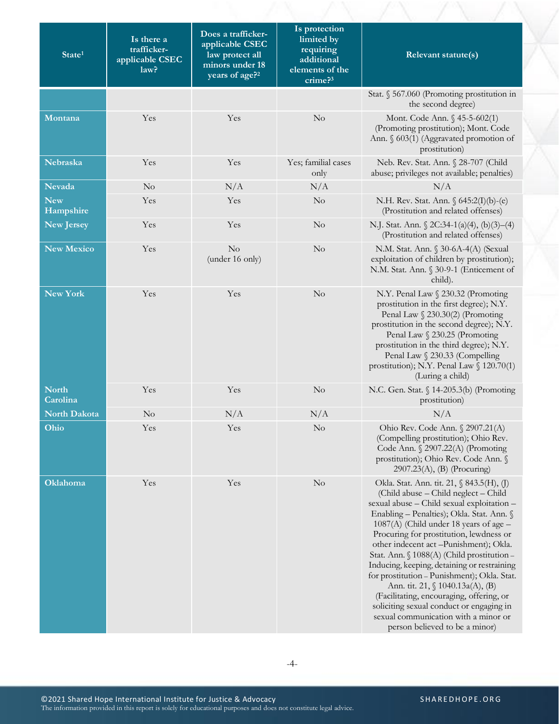| State <sup>1</sup>       | Is there a<br>trafficker-<br>applicable CSEC<br>law? | Does a trafficker-<br>applicable CSEC<br>law protect all<br>minors under 18<br>years of age? <sup>2</sup> | Is protection<br>limited by<br>requiring<br>additional<br>elements of the<br>crime? <sup>3</sup> | Relevant statute(s)                                                                                                                                                                                                                                                                                                                                                                                                                                                                                                                                                                                                                                               |
|--------------------------|------------------------------------------------------|-----------------------------------------------------------------------------------------------------------|--------------------------------------------------------------------------------------------------|-------------------------------------------------------------------------------------------------------------------------------------------------------------------------------------------------------------------------------------------------------------------------------------------------------------------------------------------------------------------------------------------------------------------------------------------------------------------------------------------------------------------------------------------------------------------------------------------------------------------------------------------------------------------|
|                          |                                                      |                                                                                                           |                                                                                                  | Stat. § 567.060 (Promoting prostitution in<br>the second degree)                                                                                                                                                                                                                                                                                                                                                                                                                                                                                                                                                                                                  |
| Montana                  | Yes                                                  | Yes                                                                                                       | $\rm No$                                                                                         | Mont. Code Ann. § 45-5-602(1)<br>(Promoting prostitution); Mont. Code<br>Ann. § 603(1) (Aggravated promotion of<br>prostitution)                                                                                                                                                                                                                                                                                                                                                                                                                                                                                                                                  |
| Nebraska                 | Yes                                                  | Yes                                                                                                       | Yes; familial cases<br>only                                                                      | Neb. Rev. Stat. Ann. § 28-707 (Child<br>abuse; privileges not available; penalties)                                                                                                                                                                                                                                                                                                                                                                                                                                                                                                                                                                               |
| <b>Nevada</b>            | No                                                   | N/A                                                                                                       | N/A                                                                                              | N/A                                                                                                                                                                                                                                                                                                                                                                                                                                                                                                                                                                                                                                                               |
| <b>New</b><br>Hampshire  | Yes                                                  | Yes                                                                                                       | $\rm No$                                                                                         | N.H. Rev. Stat. Ann. § 645:2(I)(b)-(e)<br>(Prostitution and related offenses)                                                                                                                                                                                                                                                                                                                                                                                                                                                                                                                                                                                     |
| <b>New Jersey</b>        | Yes                                                  | Yes                                                                                                       | $\rm No$                                                                                         | N.J. Stat. Ann. $\sqrt{2}C:34-1(a)(4), (b)(3)-(4)$<br>(Prostitution and related offenses)                                                                                                                                                                                                                                                                                                                                                                                                                                                                                                                                                                         |
| <b>New Mexico</b>        | Yes                                                  | No<br>(under 16 only)                                                                                     | $\rm No$                                                                                         | N.M. Stat. Ann. § 30-6A-4(A) (Sexual<br>exploitation of children by prostitution);<br>N.M. Stat. Ann. § 30-9-1 (Enticement of<br>child).                                                                                                                                                                                                                                                                                                                                                                                                                                                                                                                          |
| <b>New York</b>          | Yes                                                  | Yes                                                                                                       | $\rm No$                                                                                         | N.Y. Penal Law § 230.32 (Promoting<br>prostitution in the first degree); N.Y.<br>Penal Law § 230.30(2) (Promoting<br>prostitution in the second degree); N.Y.<br>Penal Law § 230.25 (Promoting<br>prostitution in the third degree); N.Y.<br>Penal Law § 230.33 (Compelling<br>prostitution); N.Y. Penal Law § 120.70(1)<br>(Luring a child)                                                                                                                                                                                                                                                                                                                      |
| <b>North</b><br>Carolina | Yes                                                  | Yes                                                                                                       | No                                                                                               | N.C. Gen. Stat. § 14-205.3(b) (Promoting<br>prostitution)                                                                                                                                                                                                                                                                                                                                                                                                                                                                                                                                                                                                         |
| North Dakota             | $\rm No$                                             | N/A                                                                                                       | N/A                                                                                              | N/A                                                                                                                                                                                                                                                                                                                                                                                                                                                                                                                                                                                                                                                               |
| Ohio                     | Yes                                                  | Yes                                                                                                       | No                                                                                               | Ohio Rev. Code Ann. § 2907.21(A)<br>(Compelling prostitution); Ohio Rev.<br>Code Ann. § 2907.22(A) (Promoting<br>prostitution); Ohio Rev. Code Ann. §<br>2907.23(A), (B) (Procuring)                                                                                                                                                                                                                                                                                                                                                                                                                                                                              |
| Oklahoma                 | Yes                                                  | Yes                                                                                                       | N <sub>o</sub>                                                                                   | Okla. Stat. Ann. tit. 21, § 843.5(H), (J)<br>(Child abuse - Child neglect - Child<br>sexual abuse - Child sexual exploitation -<br>Enabling - Penalties); Okla. Stat. Ann. §<br>$1087(A)$ (Child under 18 years of age $-$<br>Procuring for prostitution, lewdness or<br>other indecent act -Punishment); Okla.<br>Stat. Ann. § 1088(A) (Child prostitution -<br>Inducing, keeping, detaining or restraining<br>for prostitution - Punishment); Okla. Stat.<br>Ann. tit. 21, § 1040.13a(A), (B)<br>(Facilitating, encouraging, offering, or<br>soliciting sexual conduct or engaging in<br>sexual communication with a minor or<br>person believed to be a minor) |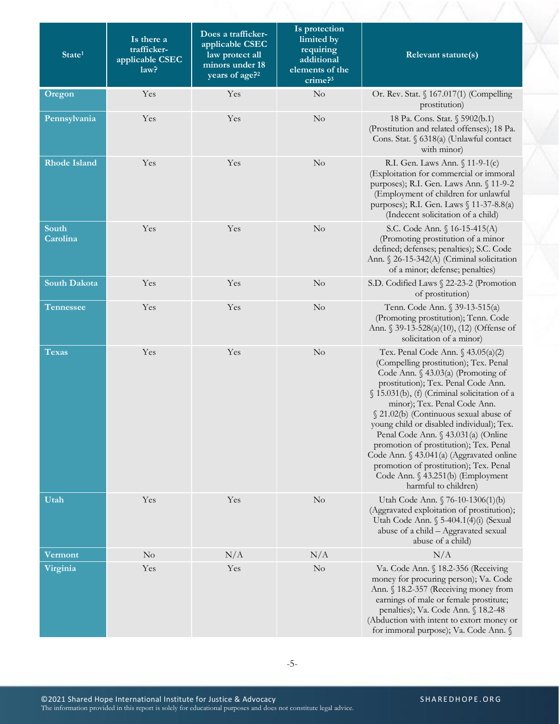| State <sup>1</sup>  | Is there a<br>trafficker-<br>applicable CSEC<br>law? | Does a trafficker-<br>applicable CSEC<br>law protect all<br>minors under 18<br>years of age? <sup>2</sup> | Is protection<br>limited by<br>requiring<br>additional<br>elements of the<br>crime? <sup>3</sup> | Relevant statute(s)                                                                                                                                                                                                                                                                                                                                                                                                                                                                                                                                                       |
|---------------------|------------------------------------------------------|-----------------------------------------------------------------------------------------------------------|--------------------------------------------------------------------------------------------------|---------------------------------------------------------------------------------------------------------------------------------------------------------------------------------------------------------------------------------------------------------------------------------------------------------------------------------------------------------------------------------------------------------------------------------------------------------------------------------------------------------------------------------------------------------------------------|
| Oregon              | Yes                                                  | Yes                                                                                                       | No                                                                                               | Or. Rev. Stat. § 167.017(1) (Compelling<br>prostitution)                                                                                                                                                                                                                                                                                                                                                                                                                                                                                                                  |
| Pennsylvania        | Yes                                                  | Yes                                                                                                       | No                                                                                               | 18 Pa. Cons. Stat. § 5902(b.1)<br>(Prostitution and related offenses); 18 Pa.<br>Cons. Stat. § 6318(a) (Unlawful contact<br>with minor)                                                                                                                                                                                                                                                                                                                                                                                                                                   |
| <b>Rhode Island</b> | Yes                                                  | Yes                                                                                                       | $\rm No$                                                                                         | R.I. Gen. Laws Ann. § 11-9-1(c)<br>(Exploitation for commercial or immoral<br>purposes); R.I. Gen. Laws Ann. § 11-9-2<br>(Employment of children for unlawful<br>purposes); R.I. Gen. Laws § 11-37-8.8(a)<br>(Indecent solicitation of a child)                                                                                                                                                                                                                                                                                                                           |
| South<br>Carolina   | Yes                                                  | Yes                                                                                                       | $\rm No$                                                                                         | S.C. Code Ann. § 16-15-415(A)<br>(Promoting prostitution of a minor<br>defined; defenses; penalties); S.C. Code<br>Ann. § 26-15-342(A) (Criminal solicitation<br>of a minor; defense; penalties)                                                                                                                                                                                                                                                                                                                                                                          |
| <b>South Dakota</b> | Yes                                                  | Yes                                                                                                       | $\rm No$                                                                                         | S.D. Codified Laws § 22-23-2 (Promotion<br>of prostitution)                                                                                                                                                                                                                                                                                                                                                                                                                                                                                                               |
| <b>Tennessee</b>    | Yes                                                  | Yes                                                                                                       | $\rm No$                                                                                         | Tenn. Code Ann. § 39-13-515(a)<br>(Promoting prostitution); Tenn. Code<br>Ann. § 39-13-528(a)(10), (12) (Offense of<br>solicitation of a minor)                                                                                                                                                                                                                                                                                                                                                                                                                           |
| <b>Texas</b>        | Yes                                                  | Yes                                                                                                       | $\rm No$                                                                                         | Tex. Penal Code Ann. $\S$ 43.05(a)(2)<br>(Compelling prostitution); Tex. Penal<br>Code Ann. § 43.03(a) (Promoting of<br>prostitution); Tex. Penal Code Ann.<br>§ 15.031(b), (f) (Criminal solicitation of a<br>minor); Tex. Penal Code Ann.<br>§ 21.02(b) (Continuous sexual abuse of<br>young child or disabled individual); Tex.<br>Penal Code Ann. $\S$ 43.031(a) (Online<br>promotion of prostitution); Tex. Penal<br>Code Ann. § 43.041(a) (Aggravated online<br>promotion of prostitution); Tex. Penal<br>Code Ann. § 43.251(b) (Employment<br>harmful to children) |
| Utah                | Yes                                                  | Yes                                                                                                       | No                                                                                               | Utah Code Ann. § 76-10-1306(1)(b)<br>(Aggravated exploitation of prostitution);<br>Utah Code Ann. § 5-404.1(4)(i) (Sexual<br>abuse of a child - Aggravated sexual<br>abuse of a child)                                                                                                                                                                                                                                                                                                                                                                                    |
| Vermont             | N <sub>o</sub>                                       | N/A                                                                                                       | N/A                                                                                              | N/A                                                                                                                                                                                                                                                                                                                                                                                                                                                                                                                                                                       |
| Virginia            | Yes                                                  | Yes                                                                                                       | No                                                                                               | Va. Code Ann. § 18.2-356 (Receiving<br>money for procuring person); Va. Code<br>Ann. § 18.2-357 (Receiving money from<br>earnings of male or female prostitute;<br>penalties); Va. Code Ann. § 18.2-48<br>(Abduction with intent to extort money or<br>for immoral purpose); Va. Code Ann. §                                                                                                                                                                                                                                                                              |